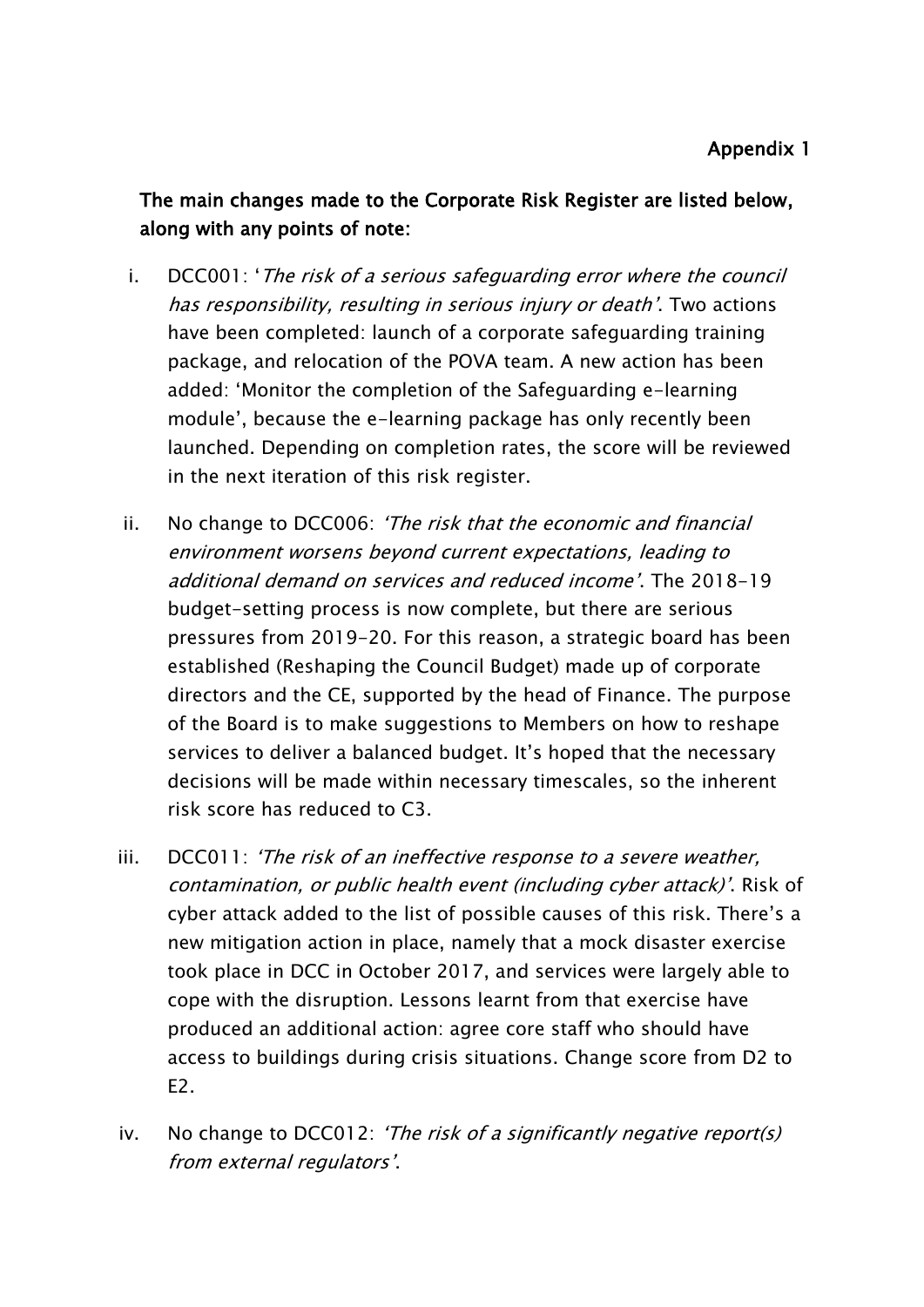The main changes made to the Corporate Risk Register are listed below, along with any points of note:

- i. DCC001: 'The risk of a serious safeguarding error where the council has responsibility, resulting in serious injury or death'. Two actions have been completed: launch of a corporate safeguarding training package, and relocation of the POVA team. A new action has been added: 'Monitor the completion of the Safeguarding e-learning module', because the e-learning package has only recently been launched. Depending on completion rates, the score will be reviewed in the next iteration of this risk register.
- ii. No change to DCC006: 'The risk that the economic and financial environment worsens beyond current expectations, leading to additional demand on services and reduced income'. The 2018-19 budget-setting process is now complete, but there are serious pressures from 2019-20. For this reason, a strategic board has been established (Reshaping the Council Budget) made up of corporate directors and the CE, supported by the head of Finance. The purpose of the Board is to make suggestions to Members on how to reshape services to deliver a balanced budget. It's hoped that the necessary decisions will be made within necessary timescales, so the inherent risk score has reduced to C3.
- iii. DCC011: 'The risk of an ineffective response to a severe weather, contamination, or public health event (including cyber attack)'. Risk of cyber attack added to the list of possible causes of this risk. There's a new mitigation action in place, namely that a mock disaster exercise took place in DCC in October 2017, and services were largely able to cope with the disruption. Lessons learnt from that exercise have produced an additional action: agree core staff who should have access to buildings during crisis situations. Change score from D2 to E2.
- iv. No change to DCC012: 'The risk of a significantly negative report(s) from external regulators'.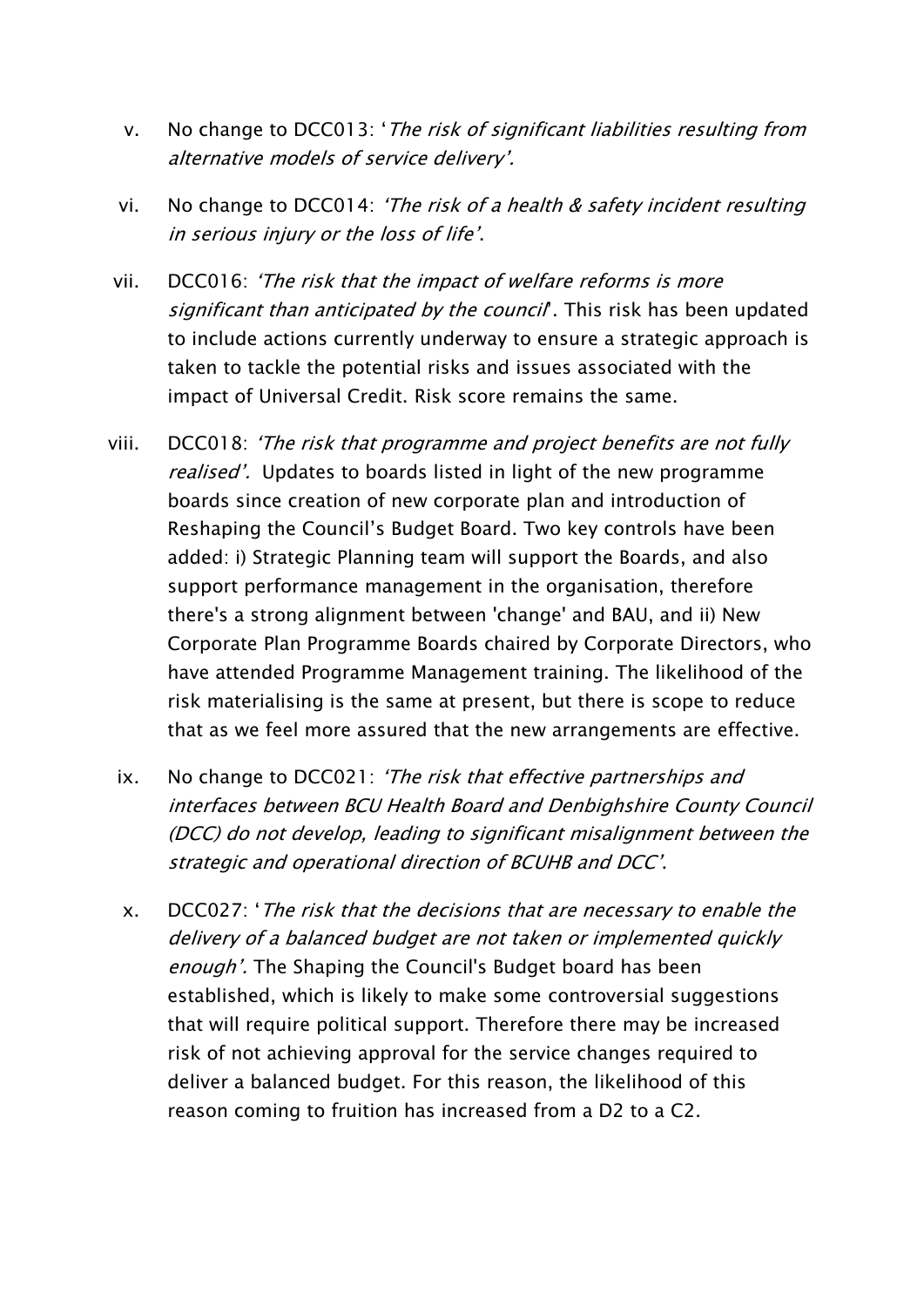- v. No change to DCC013: 'The risk of significant liabilities resulting from alternative models of service delivery'.
- vi. No change to DCC014: 'The risk of a health & safety incident resulting in serious injury or the loss of life'.
- vii. DCC016: 'The risk that the impact of welfare reforms is more significant than anticipated by the council. This risk has been updated to include actions currently underway to ensure a strategic approach is taken to tackle the potential risks and issues associated with the impact of Universal Credit. Risk score remains the same.
- viii. DCC018: 'The risk that programme and project benefits are not fully realised'. Updates to boards listed in light of the new programme boards since creation of new corporate plan and introduction of Reshaping the Council's Budget Board. Two key controls have been added: i) Strategic Planning team will support the Boards, and also support performance management in the organisation, therefore there's a strong alignment between 'change' and BAU, and ii) New Corporate Plan Programme Boards chaired by Corporate Directors, who have attended Programme Management training. The likelihood of the risk materialising is the same at present, but there is scope to reduce that as we feel more assured that the new arrangements are effective.
	- ix. No change to DCC021: 'The risk that effective partnerships and interfaces between BCU Health Board and Denbighshire County Council (DCC) do not develop, leading to significant misalignment between the strategic and operational direction of BCUHB and DCC'.
	- x. DCC027: 'The risk that the decisions that are necessary to enable the delivery of a balanced budget are not taken or implemented quickly enough'. The Shaping the Council's Budget board has been established, which is likely to make some controversial suggestions that will require political support. Therefore there may be increased risk of not achieving approval for the service changes required to deliver a balanced budget. For this reason, the likelihood of this reason coming to fruition has increased from a D2 to a C2.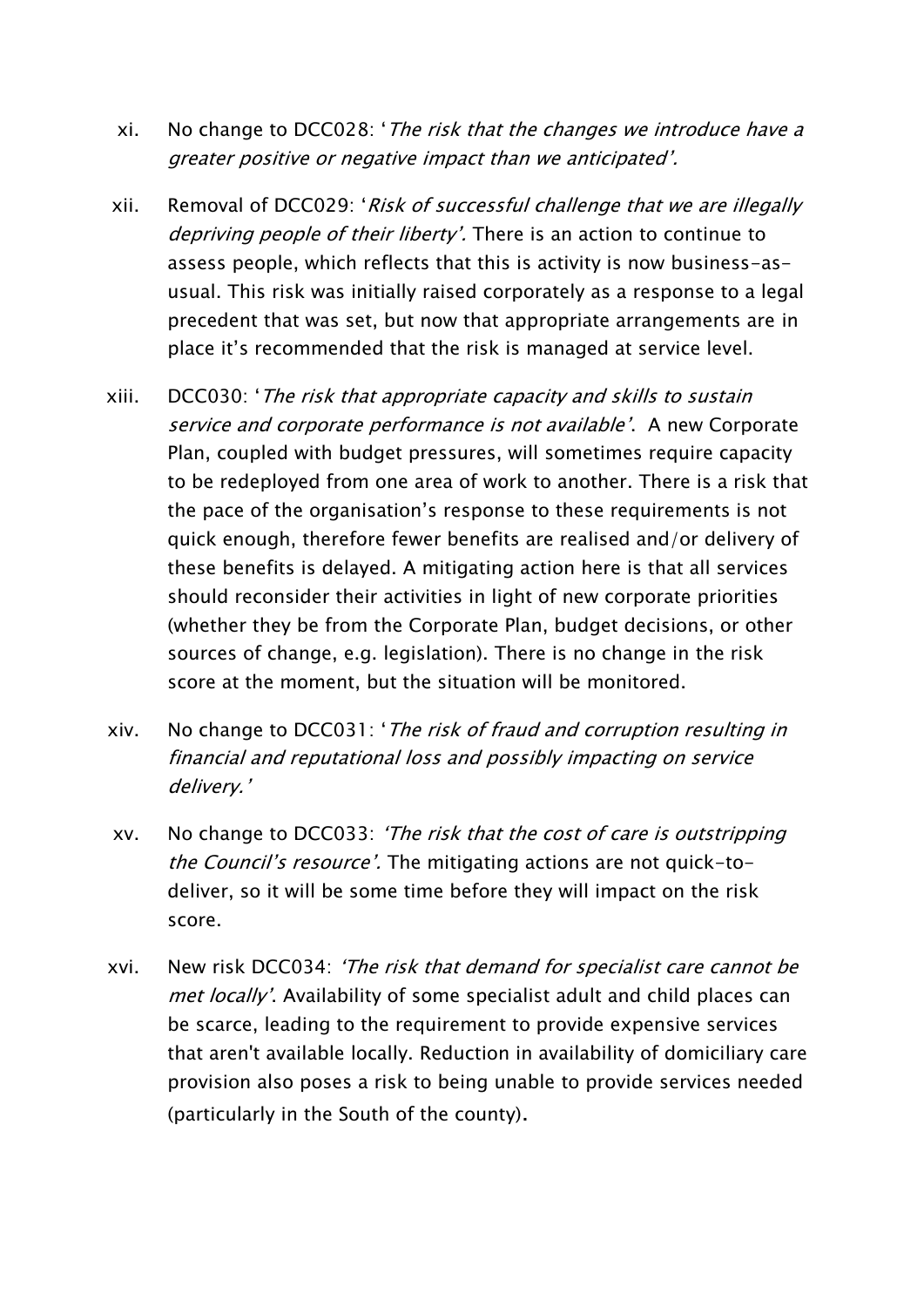- xi. No change to DCC028: 'The risk that the changes we introduce have a greater positive or negative impact than we anticipated'.
- xii. Removal of DCC029: 'Risk of successful challenge that we are illegally depriving people of their liberty'. There is an action to continue to assess people, which reflects that this is activity is now business-asusual. This risk was initially raised corporately as a response to a legal precedent that was set, but now that appropriate arrangements are in place it's recommended that the risk is managed at service level.
- xiii. DCC030: 'The risk that appropriate capacity and skills to sustain service and corporate performance is not available'. A new Corporate Plan, coupled with budget pressures, will sometimes require capacity to be redeployed from one area of work to another. There is a risk that the pace of the organisation's response to these requirements is not quick enough, therefore fewer benefits are realised and/or delivery of these benefits is delayed. A mitigating action here is that all services should reconsider their activities in light of new corporate priorities (whether they be from the Corporate Plan, budget decisions, or other sources of change, e.g. legislation). There is no change in the risk score at the moment, but the situation will be monitored.
- xiv. No change to DCC031: 'The risk of fraud and corruption resulting in financial and reputational loss and possibly impacting on service delivery.'
- xv. No change to DCC033: 'The risk that the cost of care is outstripping the Council's resource'. The mitigating actions are not quick-todeliver, so it will be some time before they will impact on the risk score.
- xvi. New risk DCC034: 'The risk that demand for specialist care cannot be met locally'. Availability of some specialist adult and child places can be scarce, leading to the requirement to provide expensive services that aren't available locally. Reduction in availability of domiciliary care provision also poses a risk to being unable to provide services needed (particularly in the South of the county).